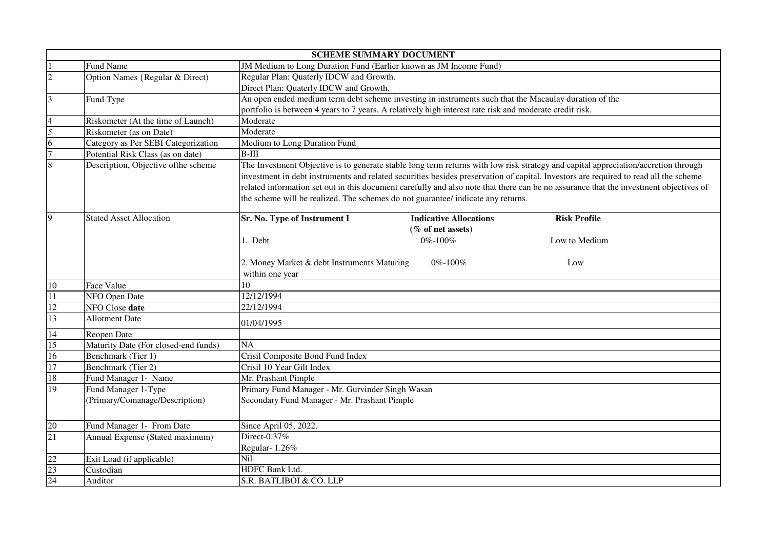|                | <b>SCHEME SUMMARY DOCUMENT</b>       |                                                                                                                                       |  |  |  |  |
|----------------|--------------------------------------|---------------------------------------------------------------------------------------------------------------------------------------|--|--|--|--|
|                | Fund Name                            | JM Medium to Long Duration Fund (Earlier known as JM Income Fund)                                                                     |  |  |  |  |
| $\overline{2}$ | Option Names {Regular & Direct)      | Regular Plan: Quaterly IDCW and Growth.                                                                                               |  |  |  |  |
|                |                                      | Direct Plan: Quaterly IDCW and Growth.                                                                                                |  |  |  |  |
| $\overline{3}$ | Fund Type                            | An open ended medium term debt scheme investing in instruments such that the Macaulay duration of the                                 |  |  |  |  |
|                |                                      | portfolio is between 4 years to 7 years. A relatively high interest rate risk and moderate credit risk.                               |  |  |  |  |
|                | Riskometer (At the time of Launch)   | Moderate                                                                                                                              |  |  |  |  |
| $\overline{5}$ | Riskometer (as on Date)              | Moderate                                                                                                                              |  |  |  |  |
| 6              | Category as Per SEBI Categorization  | Medium to Long Duration Fund                                                                                                          |  |  |  |  |
|                | Potential Risk Class (as on date)    | $B-III$                                                                                                                               |  |  |  |  |
|                | Description, Objective of the scheme | The Investment Objective is to generate stable long term returns with low risk strategy and capital appreciation/accretion through    |  |  |  |  |
|                |                                      | investment in debt instruments and related securities besides preservation of capital. Investors are required to read all the scheme  |  |  |  |  |
|                |                                      | related information set out in this document carefully and also note that there can be no assurance that the investment objectives of |  |  |  |  |
|                |                                      | the scheme will be realized. The schemes do not guarantee/ indicate any returns.                                                      |  |  |  |  |
|                |                                      |                                                                                                                                       |  |  |  |  |
| 9              | <b>Stated Asset Allocation</b>       | Sr. No. Type of Instrument I<br><b>Indicative Allocations</b><br><b>Risk Profile</b>                                                  |  |  |  |  |
|                |                                      | (% of net assets)                                                                                                                     |  |  |  |  |
|                |                                      | 1. Debt<br>0%-100%<br>Low to Medium                                                                                                   |  |  |  |  |
|                |                                      |                                                                                                                                       |  |  |  |  |
|                |                                      | 2. Money Market & debt Instruments Maturing<br>$0\% - 100\%$<br>Low                                                                   |  |  |  |  |
|                |                                      | within one year                                                                                                                       |  |  |  |  |
| 10             | Face Value                           | 10                                                                                                                                    |  |  |  |  |
| 11             | NFO Open Date                        | 12/12/1994                                                                                                                            |  |  |  |  |
| 12             | NFO Close date                       | 22/12/1994                                                                                                                            |  |  |  |  |
| 13             | <b>Allotment Date</b>                | 01/04/1995                                                                                                                            |  |  |  |  |
| 14             | Reopen Date                          |                                                                                                                                       |  |  |  |  |
| 15             | Maturity Date (For closed-end funds) | <b>NA</b>                                                                                                                             |  |  |  |  |
| 16             | Benchmark (Tier 1)                   | Crisil Composite Bond Fund Index                                                                                                      |  |  |  |  |
| 17             | Benchmark (Tier 2)                   | Crisil 10 Year Gilt Index                                                                                                             |  |  |  |  |
| 18             | Fund Manager 1- Name                 | Mr. Prashant Pimple                                                                                                                   |  |  |  |  |
| 19             | Fund Manager 1-Type                  | Primary Fund Manager - Mr. Gurvinder Singh Wasan                                                                                      |  |  |  |  |
|                | (Primary/Comanage/Description)       | Secondary Fund Manager - Mr. Prashant Pimple                                                                                          |  |  |  |  |
|                |                                      |                                                                                                                                       |  |  |  |  |
| 20             | Fund Manager 1- From Date            | Since April 05, 2022.                                                                                                                 |  |  |  |  |
| 21             | Annual Expense (Stated maximum)      | Direct-0.37%                                                                                                                          |  |  |  |  |
|                |                                      | Regular-1.26%                                                                                                                         |  |  |  |  |
| 22             | Exit Load (if applicable)            | Nil                                                                                                                                   |  |  |  |  |
| 23             | Custodian                            | HDFC Bank Ltd.                                                                                                                        |  |  |  |  |
| 24             | Auditor                              | S.R. BATLIBOI & CO. LLP                                                                                                               |  |  |  |  |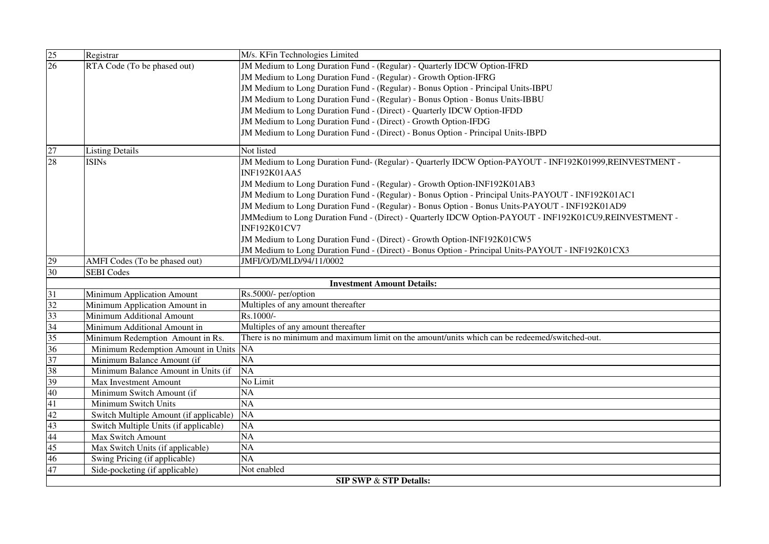| $\frac{25}{26}$ | Registrar                              | M/s. KFin Technologies Limited                                                                                                 |
|-----------------|----------------------------------------|--------------------------------------------------------------------------------------------------------------------------------|
|                 | RTA Code (To be phased out)            | JM Medium to Long Duration Fund - (Regular) - Quarterly IDCW Option-IFRD                                                       |
|                 |                                        | JM Medium to Long Duration Fund - (Regular) - Growth Option-IFRG                                                               |
|                 |                                        | JM Medium to Long Duration Fund - (Regular) - Bonus Option - Principal Units-IBPU                                              |
|                 |                                        | JM Medium to Long Duration Fund - (Regular) - Bonus Option - Bonus Units-IBBU                                                  |
|                 |                                        | JM Medium to Long Duration Fund - (Direct) - Quarterly IDCW Option-IFDD                                                        |
|                 |                                        | JM Medium to Long Duration Fund - (Direct) - Growth Option-IFDG                                                                |
|                 |                                        | JM Medium to Long Duration Fund - (Direct) - Bonus Option - Principal Units-IBPD                                               |
| $\frac{27}{28}$ | <b>Listing Details</b>                 | Not listed                                                                                                                     |
|                 | <b>ISINs</b>                           | JM Medium to Long Duration Fund- (Regular) - Quarterly IDCW Option-PAYOUT - INF192K01999,REINVESTMENT -<br><b>INF192K01AA5</b> |
|                 |                                        | JM Medium to Long Duration Fund - (Regular) - Growth Option-INF192K01AB3                                                       |
|                 |                                        | JM Medium to Long Duration Fund - (Regular) - Bonus Option - Principal Units-PAYOUT - INF192K01AC1                             |
|                 |                                        | JM Medium to Long Duration Fund - (Regular) - Bonus Option - Bonus Units-PAYOUT - INF192K01AD9                                 |
|                 |                                        | JMMedium to Long Duration Fund - (Direct) - Quarterly IDCW Option-PAYOUT - INF192K01CU9,REINVESTMENT -                         |
|                 |                                        | <b>INF192K01CV7</b>                                                                                                            |
|                 |                                        | JM Medium to Long Duration Fund - (Direct) - Growth Option-INF192K01CW5                                                        |
|                 |                                        | JM Medium to Long Duration Fund - (Direct) - Bonus Option - Principal Units-PAYOUT - INF192K01CX3                              |
| 29              | AMFI Codes (To be phased out)          | JMFI/O/D/MLD/94/11/0002                                                                                                        |
| $\overline{30}$ | <b>SEBI</b> Codes                      |                                                                                                                                |
|                 |                                        | <b>Investment Amount Details:</b>                                                                                              |
| $\frac{31}{32}$ | Minimum Application Amount             | Rs.5000/- per/option                                                                                                           |
|                 | Minimum Application Amount in          | Multiples of any amount thereafter                                                                                             |
| 33              | Minimum Additional Amount              | Rs.1000/-                                                                                                                      |
| 34              | Minimum Additional Amount in           | Multiples of any amount thereafter                                                                                             |
| $\frac{35}{36}$ | Minimum Redemption Amount in Rs.       | There is no minimum and maximum limit on the amount/units which can be redeemed/switched-out.                                  |
|                 | Minimum Redemption Amount in Units     | <b>NA</b>                                                                                                                      |
| 37              | Minimum Balance Amount (if             | $\overline{NA}$                                                                                                                |
| 38              | Minimum Balance Amount in Units (if    | <b>NA</b>                                                                                                                      |
| 39              | <b>Max Investment Amount</b>           | No Limit                                                                                                                       |
| 40              | Minimum Switch Amount (if              | NA                                                                                                                             |
| $\overline{41}$ | Minimum Switch Units                   | NA                                                                                                                             |
| 42              | Switch Multiple Amount (if applicable) | <b>NA</b>                                                                                                                      |
| 43              | Switch Multiple Units (if applicable)  | NA                                                                                                                             |
| 44              | Max Switch Amount                      | $\overline{NA}$                                                                                                                |
| 45              | Max Switch Units (if applicable)       | NA                                                                                                                             |
| 46              | Swing Pricing (if applicable)          | NA                                                                                                                             |
| 47              | Side-pocketing (if applicable)         | Not enabled                                                                                                                    |
|                 |                                        | <b>SIP SWP &amp; STP Details:</b>                                                                                              |